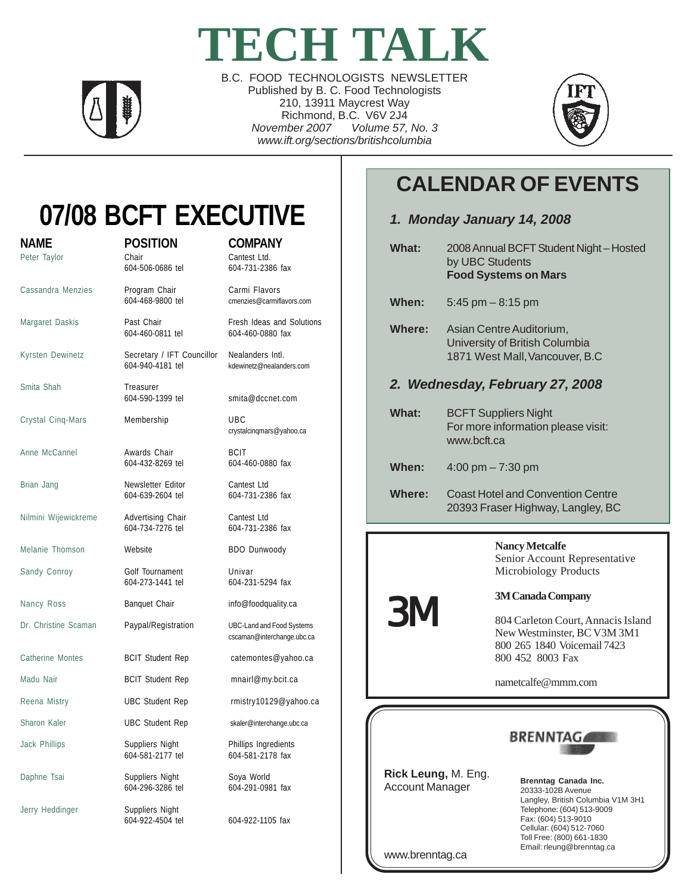# **TECH TALK**



B.C. FOOD TECHNOLOGISTS NEWSLETTER Published by B. C. Food Technologists 210, 13911 Maycrest Way Richmond, B.C. V6V 2J4 *November 2007 Volume 57, No. 3 www.ift.org/sections/britishcolumbia*



# **07/08 BCFT EXECUTIVE**

| <b>NAME</b><br>Peter Taylor | <b>POSITION</b><br>Chair<br>604-506-0686 tel   | <b>COMPANY</b><br>Cantest Ltd.<br>604-731-2386 fax      |  |
|-----------------------------|------------------------------------------------|---------------------------------------------------------|--|
| Cassandra Menzies           | Program Chair<br>604-468-9800 tel              | Carmi Flavors<br>cmenzies@carmiflavors.com              |  |
| Margaret Daskis             | Past Chair<br>604-460-0811 tel                 | Fresh Ideas and Solutions<br>604-460-0880 fax           |  |
| Kyrsten Dewinetz            | Secretary / IFT Councillor<br>604-940-4181 tel | Nealanders Intl.<br>kdewinetz@nealanders.com            |  |
| Smita Shah                  | Treasurer<br>604-590-1399 tel                  | smita@dccnet.com                                        |  |
| Crystal Cinq-Mars           | Membership                                     | UBC<br>crystalcinqmars@yahoo.ca                         |  |
| Anne McCannel               | Awards Chair<br>604-432-8269 tel               | <b>BCIT</b><br>604-460-0880 fax                         |  |
| Brian Jang                  | Newsletter Editor<br>604-639-2604 tel          | Cantest Ltd<br>604-731-2386 fax                         |  |
| Nilmini Wijewickreme        | Advertising Chair<br>604-734-7276 tel          | Cantest Ltd<br>604-731-2386 fax                         |  |
| Melanie Thomson             | Website                                        | <b>BDO Dunwoody</b>                                     |  |
| Sandy Conroy                | Golf Tournament<br>604-273-1441 tel            | Univar<br>604-231-5294 fax                              |  |
| Nancy Ross                  | Banquet Chair                                  | info@foodquality.ca                                     |  |
| Dr. Christine Scaman        | Paypal/Registration                            | UBC-Land and Food Systems<br>cscaman@interchange.ubc.ca |  |
| Catherine Montes            | <b>BCIT Student Rep</b>                        | catemontes@yahoo.ca                                     |  |
| Madu Nair                   | <b>BCIT Student Rep</b>                        | mnairl@my.bcit.ca                                       |  |
| Reena Mistry                | <b>UBC Student Rep</b>                         | rmistry10129@yahoo.ca                                   |  |
| Sharon Kaler                | <b>UBC Student Rep</b>                         | skaler@interchange.ubc.ca                               |  |
| Jack Phillips               | Suppliers Night<br>604-581-2177 tel            | Phillips Ingredients<br>604-581-2178 fax                |  |
| Daphne Tsai                 | Suppliers Night<br>604-296-3286 tel            | Soya World<br>604-291-0981 fax                          |  |
| Jerry Heddinger             | Suppliers Night<br>604-922-4504 tel            | 604-922-1105 fax                                        |  |

### **CALENDAR OF EVENTS**

| 1. Monday January 14, 2008                    |                                                                                                                      |  |  |
|-----------------------------------------------|----------------------------------------------------------------------------------------------------------------------|--|--|
| <b>What:</b>                                  | 2008 Annual BCFT Student Night - Hosted<br>by UBC Students<br><b>Food Systems on Mars</b>                            |  |  |
| When:                                         | $5:45$ pm $-8:15$ pm                                                                                                 |  |  |
| Where:                                        | Asian Centre Auditorium,<br>University of British Columbia<br>1871 West Mall, Vancouver, B.C                         |  |  |
| 2. Wednesday, February 27, 2008               |                                                                                                                      |  |  |
| What:                                         | <b>BCFT Suppliers Night</b><br>For more information please visit:<br>www.bcft.ca                                     |  |  |
| When:                                         | 4:00 pm $- 7:30$ pm                                                                                                  |  |  |
| Where:                                        | <b>Coast Hotel and Convention Centre</b><br>20393 Fraser Highway, Langley, BC                                        |  |  |
|                                               | Nancy Metcalfe<br>Senior Account Representative<br>Microbiology Products                                             |  |  |
|                                               | 3M Canada Company                                                                                                    |  |  |
| <b>3M</b>                                     | 804 Carleton Court, Annacis Island<br>New Westminster, BC V3M 3M1<br>800 265 1840 Voicemail 7423<br>800 452 8003 Fax |  |  |
|                                               | nametcalfe@mmm.com                                                                                                   |  |  |
|                                               |                                                                                                                      |  |  |
|                                               | <b>BRENNTAG</b>                                                                                                      |  |  |
| Rick Leung, M. Eng.<br><b>Account Manager</b> | Brenntag Canada Inc.<br>20333-102B Avenue                                                                            |  |  |

Langley, British Columbia V1M 3H1 Telephone: (604) 513-9009 Fax: (604) 513-9010 Cellular: (604) 512-7060 Toll Free: (800) 661-1830 Email: rleung@brenntag.ca

www.brenntag.ca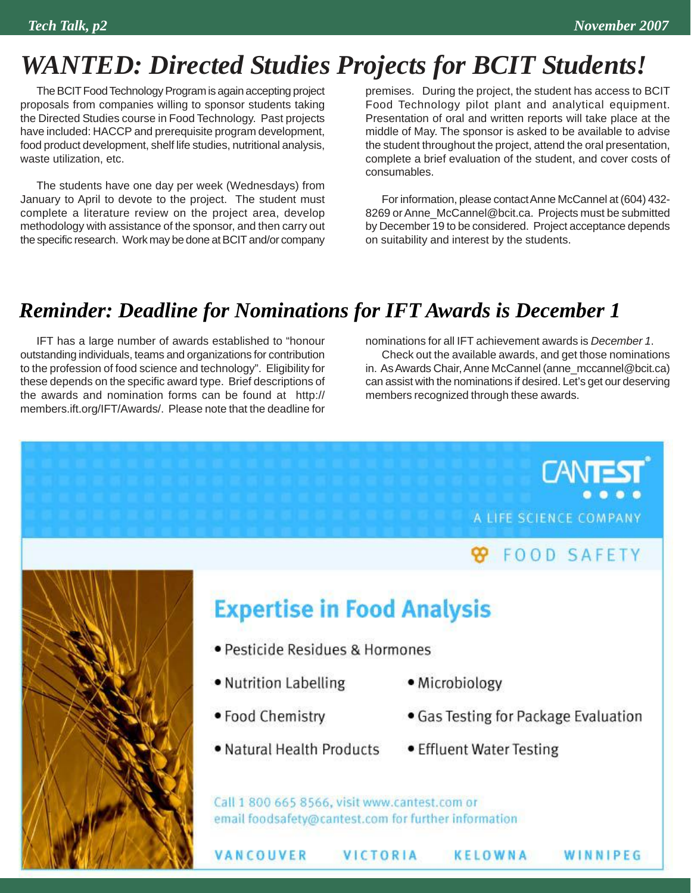# *WANTED: Directed Studies Projects for BCIT Students!*

The BCIT Food Technology Program is again accepting project proposals from companies willing to sponsor students taking the Directed Studies course in Food Technology. Past projects have included: HACCP and prerequisite program development, food product development, shelf life studies, nutritional analysis, waste utilization, etc.

The students have one day per week (Wednesdays) from January to April to devote to the project. The student must complete a literature review on the project area, develop methodology with assistance of the sponsor, and then carry out the specific research. Work may be done at BCIT and/or company

premises. During the project, the student has access to BCIT Food Technology pilot plant and analytical equipment. Presentation of oral and written reports will take place at the middle of May. The sponsor is asked to be available to advise the student throughout the project, attend the oral presentation, complete a brief evaluation of the student, and cover costs of consumables.

For information, please contact Anne McCannel at (604) 432- 8269 or Anne McCannel@bcit.ca. Projects must be submitted by December 19 to be considered. Project acceptance depends on suitability and interest by the students.

### *Reminder: Deadline for Nominations for IFT Awards is December 1*

IFT has a large number of awards established to "honour outstanding individuals, teams and organizations for contribution to the profession of food science and technology". Eligibility for these depends on the specific award type. Brief descriptions of the awards and nomination forms can be found at http:// members.ift.org/IFT/Awards/. Please note that the deadline for nominations for all IFT achievement awards is *December 1*.

Check out the available awards, and get those nominations in. As Awards Chair, Anne McCannel (anne\_mccannel@bcit.ca) can assist with the nominations if desired. Let's get our deserving members recognized through these awards.

A LIFE SCIENCE COMPANY

**CANTES** 

WINNIPEG

### **99 FOOD SAFETY**



# **Expertise in Food Analysis**

- · Pesticide Residues & Hormones
- Nutrition Labelling
- Microbiology
- Food Chemistry

VANCOUVER

- . Natural Health Products
- Gas Testing for Package Evaluation
- Effluent Water Testing

KELOWNA

Call 1 800 665 8566, visit www.cantest.com or email foodsafety@cantest.com for further information

VICTORIA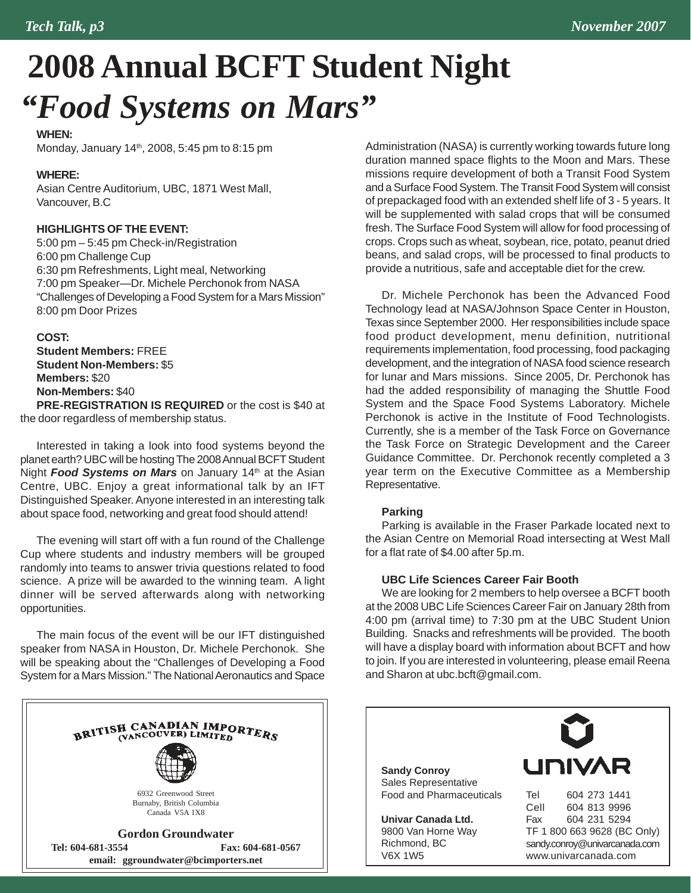# **2008 Annual BCFT Student Night** *"Food Systems on Mars"*

#### **WHEN:**

Monday, January 14<sup>th</sup>, 2008, 5:45 pm to 8:15 pm

#### **WHERE:**

Asian Centre Auditorium, UBC, 1871 West Mall, Vancouver, B.C

#### **HIGHLIGHTS OF THE EVENT:**

5:00 pm – 5:45 pm Check-in/Registration 6:00 pm Challenge Cup 6:30 pm Refreshments, Light meal, Networking 7:00 pm Speaker—Dr. Michele Perchonok from NASA "Challenges of Developing a Food System for a Mars Mission" 8:00 pm Door Prizes

#### **COST:**

**Student Members:** FREE **Student Non-Members:** \$5 **Members:** \$20 **Non-Members:** \$40 **PRE-REGISTRATION IS REQUIRED** or the cost is \$40 at the door regardless of membership status.

Interested in taking a look into food systems beyond the planet earth? UBC will be hosting The 2008 Annual BCFT Student Night **Food Systems on Mars** on January 14<sup>th</sup> at the Asian Centre, UBC. Enjoy a great informational talk by an IFT Distinguished Speaker. Anyone interested in an interesting talk about space food, networking and great food should attend!

The evening will start off with a fun round of the Challenge Cup where students and industry members will be grouped randomly into teams to answer trivia questions related to food science. A prize will be awarded to the winning team. A light dinner will be served afterwards along with networking opportunities.

The main focus of the event will be our IFT distinguished speaker from NASA in Houston, Dr. Michele Perchonok. She will be speaking about the "Challenges of Developing a Food System for a Mars Mission." The National Aeronautics and Space



Administration (NASA) is currently working towards future long duration manned space flights to the Moon and Mars. These missions require development of both a Transit Food System and a Surface Food System. The Transit Food System will consist of prepackaged food with an extended shelf life of 3 - 5 years. It will be supplemented with salad crops that will be consumed fresh. The Surface Food System will allow for food processing of crops. Crops such as wheat, soybean, rice, potato, peanut dried beans, and salad crops, will be processed to final products to provide a nutritious, safe and acceptable diet for the crew.

Dr. Michele Perchonok has been the Advanced Food Technology lead at NASA/Johnson Space Center in Houston, Texas since September 2000. Her responsibilities include space food product development, menu definition, nutritional requirements implementation, food processing, food packaging development, and the integration of NASA food science research for lunar and Mars missions. Since 2005, Dr. Perchonok has had the added responsibility of managing the Shuttle Food System and the Space Food Systems Laboratory. Michele Perchonok is active in the Institute of Food Technologists. Currently, she is a member of the Task Force on Governance the Task Force on Strategic Development and the Career Guidance Committee. Dr. Perchonok recently completed a 3 year term on the Executive Committee as a Membership Representative.

#### **Parking**

Parking is available in the Fraser Parkade located next to the Asian Centre on Memorial Road intersecting at West Mall for a flat rate of \$4.00 after 5p.m.

#### **UBC Life Sciences Career Fair Booth**

We are looking for 2 members to help oversee a BCFT booth at the 2008 UBC Life Sciences Career Fair on January 28th from 4:00 pm (arrival time) to 7:30 pm at the UBC Student Union Building. Snacks and refreshments will be provided. The booth will have a display board with information about BCFT and how to join. If you are interested in volunteering, please email Reena and Sharon at ubc.bcft@gmail.com.

**Sandy Conroy** Sales Representative Food and Pharmaceuticals

**Univar Canada Ltd.** 9800 Van Horne Way Richmond, BC V6X 1W5



Tel 604 273 1441 Cell 604 813 9996 Fax 604 231 5294 TF 1 800 663 9628 (BC Only) sandy.conroy@univarcanada.com www.univarcanada.com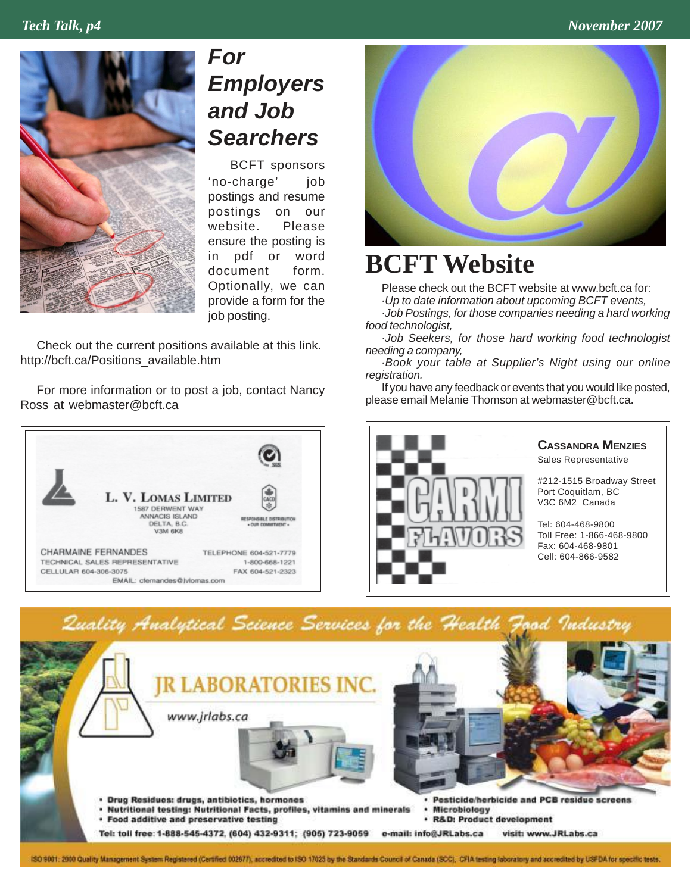

### *For Employers and Job Searchers*

BCFT sponsors 'no-charge' job postings and resume postings on our website. Please ensure the posting is in pdf or word document form. Optionally, we can provide a form for the job posting.

Check out the current positions available at this link. http://bcft.ca/Positions\_available.htm

For more information or to post a job, contact Nancy Ross at webmaster@bcft.ca





## **BCFT Website**

Please check out the BCFT website at www.bcft.ca for: *·Up to date information about upcoming BCFT events,*

*·Job Postings, for those companies needing a hard working food technologist,*

*·Job Seekers, for those hard working food technologist needing a company,*

*·Book your table at Supplier's Night using our online registration.*

If you have any feedback or events that you would like posted, please email Melanie Thomson at webmaster@bcft.ca.



#### **CASSANDRA MENZIES**

Sales Representative

#212-1515 Broadway Street Port Coquitlam, BC V3C 6M2 Canada

Tel: 604-468-9800 Toll Free: 1-866-468-9800 Fax: 604-468-9801 Cell: 604-866-9582

### Zuality Analytical Science Services for the Health Food Industry

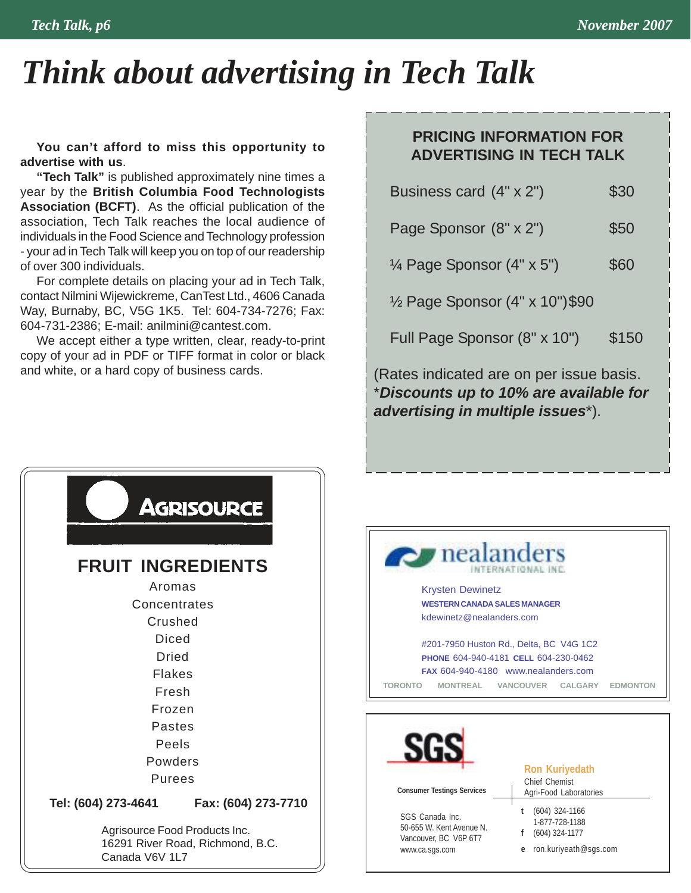# *Think about advertising in Tech Talk*

**You can't afford to miss this opportunity to advertise with us**.

**"Tech Talk"** is published approximately nine times a year by the **British Columbia Food Technologists Association (BCFT)**. As the official publication of the association, Tech Talk reaches the local audience of individuals in the Food Science and Technology profession - your ad in Tech Talk will keep you on top of our readership of over 300 individuals.

For complete details on placing your ad in Tech Talk, contact Nilmini Wijewickreme, CanTest Ltd., 4606 Canada Way, Burnaby, BC, V5G 1K5. Tel: 604-734-7276; Fax: 604-731-2386; E-mail: anilmini@cantest.com.

We accept either a type written, clear, ready-to-print copy of your ad in PDF or TIFF format in color or black and white, or a hard copy of business cards.

#### **PRICING INFORMATION FOR ADVERTISING IN TECH TALK**

| Business card (4" x 2")                  | \$30  |  |  |
|------------------------------------------|-------|--|--|
| Page Sponsor (8" x 2")                   | \$50  |  |  |
| 1/4 Page Sponsor (4" x 5")               | \$60  |  |  |
| 1/2 Page Sponsor (4" x 10") \$90         |       |  |  |
| Full Page Sponsor (8" x 10")             | \$150 |  |  |
| (Rates indicated are on per issue basis. |       |  |  |

\**Discounts up to 10% are available for advertising in multiple issues*\*).





SGS Canada Inc. 50-655 W. Kent Avenue N. Vancouver, BC V6P 6T7 www.ca.sgs.com **t** (604) 324-1166 1-877-728-1188 **f** (604) 324-1177 **e** ron.kuriyeath@sgs.com